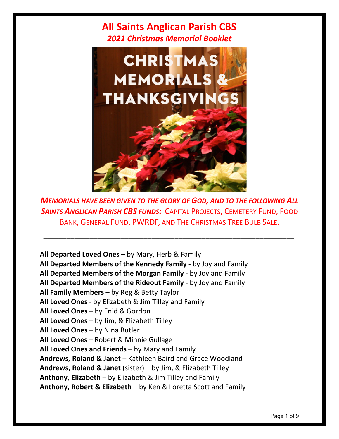

*MEMORIALS HAVE BEEN GIVEN TO THE GLORY OF GOD, AND TO THE FOLLOWING ALL SAINTS ANGLICAN PARISH CBS FUNDS:* CAPITAL PROJECTS, CEMETERY FUND, FOOD BANK, GENERAL FUND, PWRDF, AND THE CHRISTMAS TREE BULB SALE.

*\_\_\_\_\_\_\_\_\_\_\_\_\_\_\_\_\_\_\_\_\_\_\_\_\_\_\_\_\_\_\_\_\_\_\_\_\_\_\_\_\_\_\_\_\_\_\_\_\_\_\_\_\_\_\_\_\_\_\_\_\_\_\_\_\_*

**All Departed Loved Ones** – by Mary, Herb & Family **All Departed Members of the Kennedy Family** - by Joy and Family **All Departed Members of the Morgan Family** - by Joy and Family **All Departed Members of the Rideout Family** - by Joy and Family **All Family Members** – by Reg & Betty Taylor **All Loved Ones** - by Elizabeth & Jim Tilley and Family **All Loved Ones** – by Enid & Gordon **All Loved Ones** – by Jim, & Elizabeth Tilley **All Loved Ones** – by Nina Butler **All Loved Ones** – Robert & Minnie Gullage **All Loved Ones and Friends** – by Mary and Family **Andrews, Roland & Janet** – Kathleen Baird and Grace Woodland **Andrews, Roland & Janet** (sister) – by Jim, & Elizabeth Tilley **Anthony, Elizabeth** – by Elizabeth & Jim Tilley and Family **Anthony, Robert & Elizabeth** – by Ken & Loretta Scott and Family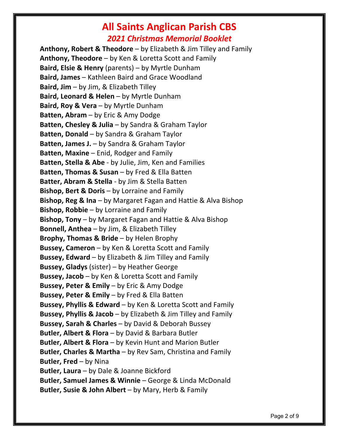# **All Saints Anglican Parish CBS**

#### *2021 Christmas Memorial Booklet*

**Anthony, Robert & Theodore** – by Elizabeth & Jim Tilley and Family **Anthony, Theodore** – by Ken & Loretta Scott and Family **Baird, Elsie & Henry** (parents) – by Myrtle Dunham **Baird, James** – Kathleen Baird and Grace Woodland **Baird, Jim** – by Jim, & Elizabeth Tilley **Baird, Leonard & Helen** – by Myrtle Dunham **Baird, Roy & Vera** – by Myrtle Dunham **Batten, Abram** – by Eric & Amy Dodge **Batten, Chesley & Julia** – by Sandra & Graham Taylor **Batten, Donald** – by Sandra & Graham Taylor **Batten, James J.** – by Sandra & Graham Taylor **Batten, Maxine** – Enid, Rodger and Family **Batten, Stella & Abe** - by Julie, Jim, Ken and Families **Batten, Thomas & Susan** – by Fred & Ella Batten **Batter, Abram & Stella** - by Jim & Stella Batten **Bishop, Bert & Doris** – by Lorraine and Family **Bishop, Reg & Ina** – by Margaret Fagan and Hattie & Alva Bishop **Bishop, Robbie** – by Lorraine and Family **Bishop, Tony** – by Margaret Fagan and Hattie & Alva Bishop **Bonnell, Anthea** – by Jim, & Elizabeth Tilley **Brophy, Thomas & Bride** – by Helen Brophy **Bussey, Cameron** – by Ken & Loretta Scott and Family **Bussey, Edward** – by Elizabeth & Jim Tilley and Family **Bussey, Gladys** (sister) – by Heather George **Bussey, Jacob** – by Ken & Loretta Scott and Family **Bussey, Peter & Emily** – by Eric & Amy Dodge **Bussey, Peter & Emily** – by Fred & Ella Batten **Bussey, Phyllis & Edward** – by Ken & Loretta Scott and Family **Bussey, Phyllis & Jacob** – by Elizabeth & Jim Tilley and Family **Bussey, Sarah & Charles** – by David & Deborah Bussey **Butler, Albert & Flora** – by David & Barbara Butler **Butler, Albert & Flora** – by Kevin Hunt and Marion Butler **Butler, Charles & Martha** – by Rev Sam, Christina and Family **Butler, Fred** – by Nina **Butler, Laura** – by Dale & Joanne Bickford **Butler, Samuel James & Winnie** – George & Linda McDonald **Butler, Susie & John Albert** – by Mary, Herb & Family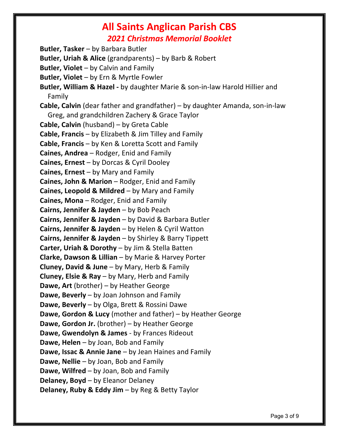**Butler, Tasker** – by Barbara Butler **Butler, Uriah & Alice** (grandparents) – by Barb & Robert **Butler, Violet** – by Calvin and Family **Butler, Violet** – by Ern & Myrtle Fowler **Butler, William & Hazel -** by daughter Marie & son-in-law Harold Hillier and Family **Cable, Calvin** (dear father and grandfather) – by daughter Amanda, son-in-law Greg, and grandchildren Zachery & Grace Taylor **Cable, Calvin** (husband) – by Greta Cable **Cable, Francis** – by Elizabeth & Jim Tilley and Family **Cable, Francis** – by Ken & Loretta Scott and Family **Caines, Andrea** – Rodger, Enid and Family **Caines, Ernest** – by Dorcas & Cyril Dooley **Caines, Ernest** – by Mary and Family **Caines, John & Marion** – Rodger, Enid and Family **Caines, Leopold & Mildred** – by Mary and Family **Caines, Mona** – Rodger, Enid and Family **Cairns, Jennifer & Jayden** – by Bob Peach **Cairns, Jennifer & Jayden** – by David & Barbara Butler **Cairns, Jennifer & Jayden** – by Helen & Cyril Watton **Cairns, Jennifer & Jayden** – by Shirley & Barry Tippett **Carter, Uriah & Dorothy** – by Jim & Stella Batten **Clarke, Dawson & Lillian** – by Marie & Harvey Porter **Cluney, David & June** – by Mary, Herb & Family **Cluney, Elsie & Ray** – by Mary, Herb and Family **Dawe, Art** (brother) – by Heather George **Dawe, Beverly** – by Joan Johnson and Family **Dawe, Beverly** – by Olga, Brett & Rossini Dawe **Dawe, Gordon & Lucy** (mother and father) – by Heather George **Dawe, Gordon Jr.** (brother) – by Heather George **Dawe, Gwendolyn & James** - by Frances Rideout **Dawe, Helen** – by Joan, Bob and Family **Dawe, Issac & Annie Jane** – by Jean Haines and Family **Dawe, Nellie** – by Joan, Bob and Family **Dawe, Wilfred** – by Joan, Bob and Family **Delaney, Boyd** – by Eleanor Delaney **Delaney, Ruby & Eddy Jim** – by Reg & Betty Taylor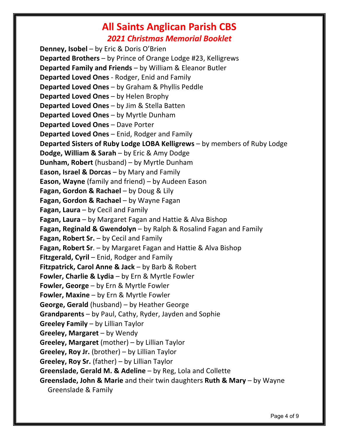**Denney, Isobel** – by Eric & Doris O'Brien **Departed Brothers** – by Prince of Orange Lodge #23, Kelligrews **Departed Family and Friends** – by William & Eleanor Butler **Departed Loved Ones** - Rodger, Enid and Family **Departed Loved Ones** – by Graham & Phyllis Peddle **Departed Loved Ones** – by Helen Brophy **Departed Loved Ones** – by Jim & Stella Batten **Departed Loved Ones** – by Myrtle Dunham **Departed Loved Ones** – Dave Porter **Departed Loved Ones** – Enid, Rodger and Family **Departed Sisters of Ruby Lodge LOBA Kelligrews** – by members of Ruby Lodge **Dodge, William & Sarah** – by Eric & Amy Dodge **Dunham, Robert** (husband) – by Myrtle Dunham **Eason, Israel & Dorcas** – by Mary and Family **Eason, Wayne** (family and friend) – by Audeen Eason **Fagan, Gordon & Rachael** – by Doug & Lily **Fagan, Gordon & Rachael** – by Wayne Fagan **Fagan, Laura** – by Cecil and Family **Fagan, Laura** – by Margaret Fagan and Hattie & Alva Bishop **Fagan, Reginald & Gwendolyn** – by Ralph & Rosalind Fagan and Family **Fagan, Robert Sr.** – by Cecil and Family **Fagan, Robert Sr**. – by Margaret Fagan and Hattie & Alva Bishop **Fitzgerald, Cyril** – Enid, Rodger and Family **Fitzpatrick, Carol Anne & Jack** – by Barb & Robert **Fowler, Charlie & Lydia** – by Ern & Myrtle Fowler **Fowler, George** – by Ern & Myrtle Fowler **Fowler, Maxine** – by Ern & Myrtle Fowler **George, Gerald** (husband) – by Heather George **Grandparents** – by Paul, Cathy, Ryder, Jayden and Sophie **Greeley Family** – by Lillian Taylor **Greeley, Margaret** – by Wendy **Greeley, Margaret** (mother) – by Lillian Taylor **Greeley, Roy Jr.** (brother) – by Lillian Taylor **Greeley, Roy Sr.** (father) – by Lillian Taylor **Greenslade, Gerald M. & Adeline** – by Reg, Lola and Collette **Greenslade, John & Marie** and their twin daughters **Ruth & Mary** – by Wayne Greenslade & Family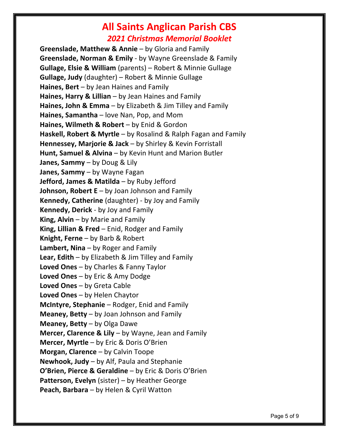**Greenslade, Matthew & Annie** – by Gloria and Family **Greenslade, Norman & Emily** - by Wayne Greenslade & Family **Gullage, Elsie & William** (parents) – Robert & Minnie Gullage **Gullage, Judy** (daughter) – Robert & Minnie Gullage **Haines, Bert** – by Jean Haines and Family **Haines, Harry & Lillian** – by Jean Haines and Family **Haines, John & Emma** – by Elizabeth & Jim Tilley and Family **Haines, Samantha** – love Nan, Pop, and Mom **Haines, Wilmeth & Robert** – by Enid & Gordon **Haskell, Robert & Myrtle** – by Rosalind & Ralph Fagan and Family **Hennessey, Marjorie & Jack** – by Shirley & Kevin Forristall **Hunt, Samuel & Alvina** – by Kevin Hunt and Marion Butler **Janes, Sammy** – by Doug & Lily **Janes, Sammy** – by Wayne Fagan **Jefford, James & Matilda** – by Ruby Jefford **Johnson, Robert E** – by Joan Johnson and Family **Kennedy, Catherine** (daughter) - by Joy and Family **Kennedy, Derick** - by Joy and Family **King, Alvin** – by Marie and Family **King, Lillian & Fred** – Enid, Rodger and Family **Knight, Ferne** – by Barb & Robert **Lambert, Nina** – by Roger and Family **Lear, Edith** – by Elizabeth & Jim Tilley and Family **Loved Ones** – by Charles & Fanny Taylor **Loved Ones** – by Eric & Amy Dodge **Loved Ones** – by Greta Cable **Loved Ones** – by Helen Chaytor **McIntyre, Stephanie** – Rodger, Enid and Family **Meaney, Betty** – by Joan Johnson and Family **Meaney, Betty** – by Olga Dawe **Mercer, Clarence & Lily** – by Wayne, Jean and Family **Mercer, Myrtle** – by Eric & Doris O'Brien **Morgan, Clarence** – by Calvin Toope **Newhook, Judy** – by Alf, Paula and Stephanie **O'Brien, Pierce & Geraldine** – by Eric & Doris O'Brien **Patterson, Evelyn** (sister) – by Heather George **Peach, Barbara** – by Helen & Cyril Watton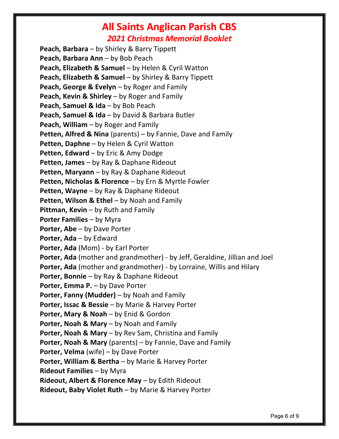**Peach, Barbara** – by Shirley & Barry Tippett **Peach, Barbara Ann** – by Bob Peach **Peach, Elizabeth & Samuel – by Helen & Cyril Watton Peach, Elizabeth & Samuel** – by Shirley & Barry Tippett **Peach, George & Evelyn** – by Roger and Family **Peach, Kevin & Shirley** – by Roger and Family **Peach, Samuel & Ida** – by Bob Peach **Peach, Samuel & Ida** – by David & Barbara Butler **Peach, William** – by Roger and Family **Petten, Alfred & Nina** (parents) – by Fannie, Dave and Family **Petten, Daphne** – by Helen & Cyril Watton **Petten, Edward** – by Eric & Amy Dodge **Petten, James** – by Ray & Daphane Rideout **Petten, Maryann** – by Ray & Daphane Rideout **Petten, Nicholas & Florence** – by Ern & Myrtle Fowler **Petten, Wayne** – by Ray & Daphane Rideout **Petten, Wilson & Ethel** – by Noah and Family **Pittman, Kevin** – by Ruth and Family **Porter Families** – by Myra **Porter, Abe** – by Dave Porter **Porter, Ada** – by Edward **Porter, Ada** (Mom) - by Earl Porter **Porter, Ada** (mother and grandmother) - by Jeff, Geraldine, Jillian and Joel **Porter, Ada** (mother and grandmother) - by Lorraine, Willis and Hilary **Porter, Bonnie** – by Ray & Daphane Rideout **Porter, Emma P.** – by Dave Porter **Porter, Fanny (Mudder)** – by Noah and Family **Porter, Issac & Bessie** – by Marie & Harvey Porter **Porter, Mary & Noah** – by Enid & Gordon **Porter, Noah & Mary** – by Noah and Family **Porter, Noah & Mary** – by Rev Sam, Christina and Family **Porter, Noah & Mary** (parents) – by Fannie, Dave and Family **Porter, Velma** (wife) – by Dave Porter **Porter, William & Bertha** – by Marie & Harvey Porter **Rideout Families** – by Myra **Rideout, Albert & Florence May** – by Edith Rideout **Rideout, Baby Violet Ruth** – by Marie & Harvey Porter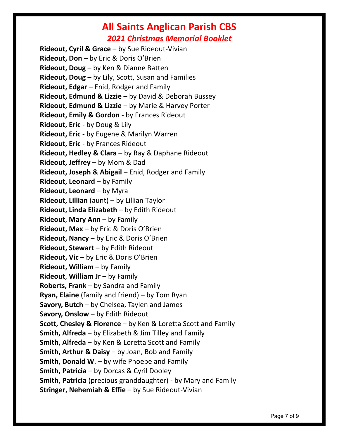**Rideout, Cyril & Grace** – by Sue Rideout-Vivian **Rideout, Don** – by Eric & Doris O'Brien **Rideout, Doug** – by Ken & Dianne Batten **Rideout, Doug** – by Lily, Scott, Susan and Families **Rideout, Edgar** – Enid, Rodger and Family **Rideout, Edmund & Lizzie** – by David & Deborah Bussey **Rideout, Edmund & Lizzie** – by Marie & Harvey Porter **Rideout, Emily & Gordon** - by Frances Rideout **Rideout, Eric** - by Doug & Lily **Rideout, Eric** - by Eugene & Marilyn Warren **Rideout, Eric** - by Frances Rideout **Rideout, Hedley & Clara** – by Ray & Daphane Rideout **Rideout, Jeffrey** – by Mom & Dad **Rideout, Joseph & Abigail** – Enid, Rodger and Family **Rideout, Leonard** – by Family **Rideout, Leonard** – by Myra **Rideout, Lillian** (aunt) – by Lillian Taylor **Rideout, Linda Elizabeth** – by Edith Rideout **Rideout, Mary Ann – by Family Rideout, Max** – by Eric & Doris O'Brien **Rideout, Nancy** – by Eric & Doris O'Brien **Rideout, Stewart** – by Edith Rideout **Rideout, Vic** – by Eric & Doris O'Brien **Rideout, William** – by Family **Rideout**, **William Jr** – by Family **Roberts, Frank** – by Sandra and Family **Ryan, Elaine** (family and friend) – by Tom Ryan **Savory, Butch** – by Chelsea, Taylen and James **Savory, Onslow** – by Edith Rideout **Scott, Chesley & Florence** – by Ken & Loretta Scott and Family **Smith, Alfreda** – by Elizabeth & Jim Tilley and Family **Smith, Alfreda** – by Ken & Loretta Scott and Family **Smith, Arthur & Daisy** – by Joan, Bob and Family **Smith, Donald W**. – by wife Phoebe and Family **Smith, Patricia** – by Dorcas & Cyril Dooley **Smith, Patricia** (precious granddaughter) - by Mary and Family **Stringer, Nehemiah & Effie** – by Sue Rideout-Vivian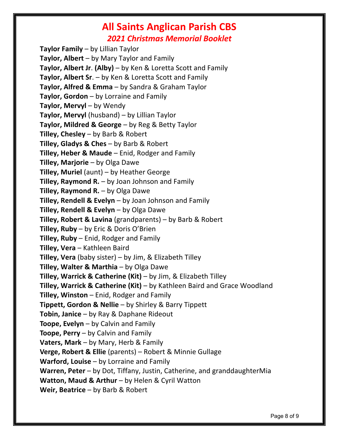**Taylor Family** – by Lillian Taylor **Taylor, Albert** – by Mary Taylor and Family **Taylor, Albert Jr**. **(Alby)** – by Ken & Loretta Scott and Family **Taylor, Albert Sr**. – by Ken & Loretta Scott and Family **Taylor, Alfred & Emma** – by Sandra & Graham Taylor **Taylor, Gordon** – by Lorraine and Family **Taylor, Mervyl** – by Wendy **Taylor, Mervyl** (husband) – by Lillian Taylor **Taylor, Mildred & George** – by Reg & Betty Taylor **Tilley, Chesley** – by Barb & Robert **Tilley, Gladys & Ches** – by Barb & Robert **Tilley, Heber & Maude** – Enid, Rodger and Family **Tilley, Marjorie** – by Olga Dawe **Tilley, Muriel** (aunt) – by Heather George **Tilley, Raymond R.** – by Joan Johnson and Family **Tilley, Raymond R.** – by Olga Dawe **Tilley, Rendell & Evelyn** – by Joan Johnson and Family **Tilley, Rendell & Evelyn** – by Olga Dawe **Tilley, Robert & Lavina** (grandparents) – by Barb & Robert **Tilley, Ruby** – by Eric & Doris O'Brien **Tilley, Ruby** – Enid, Rodger and Family **Tilley, Vera** – Kathleen Baird **Tilley, Vera** (baby sister) – by Jim, & Elizabeth Tilley **Tilley, Walter & Marthia** – by Olga Dawe **Tilley, Warrick & Catherine (Kit)** – by Jim, & Elizabeth Tilley **Tilley, Warrick & Catherine (Kit)** – by Kathleen Baird and Grace Woodland **Tilley, Winston** – Enid, Rodger and Family **Tippett, Gordon & Nellie** – by Shirley & Barry Tippett **Tobin, Janice** – by Ray & Daphane Rideout **Toope, Evelyn** – by Calvin and Family **Toope, Perry** – by Calvin and Family **Vaters, Mark** – by Mary, Herb & Family **Verge, Robert & Ellie** (parents) – Robert & Minnie Gullage **Warford, Louise** – by Lorraine and Family **Warren, Peter** – by Dot, Tiffany, Justin, Catherine, and granddaughterMia **Watton, Maud & Arthur** – by Helen & Cyril Watton **Weir, Beatrice** – by Barb & Robert